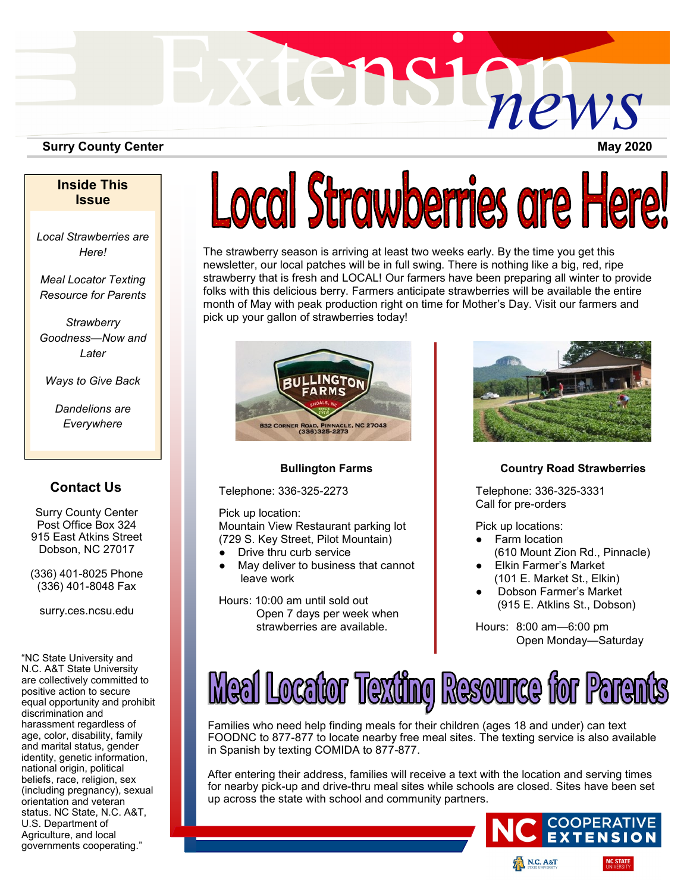

### **Surry County Center**

**May 2020**

## **Inside This Issue**

*Local Strawberries are Here!*

*Meal Locator Texting Resource for Parents*

*Strawberry Goodness—Now and Later*

*Ways to Give Back*

*Dandelions are Everywhere*

# **Contact Us**

Surry County Center Post Office Box 324 915 East Atkins Street Dobson, NC 27017

(336) 401-8025 Phone (336) 401-8048 Fax

surry.ces.ncsu.edu

"NC State University and N.C. A&T State University are collectively committed to positive action to secure equal opportunity and prohibit discrimination and harassment regardless of age, color, disability, family and marital status, gender identity, genetic information, national origin, political beliefs, race, religion, sex (including pregnancy), sexual orientation and veteran status. NC State, N.C. A&T, U.S. Department of Agriculture, and local governments cooperating."

# Local Strawberries are Here!

The strawberry season is arriving at least two weeks early. By the time you get this newsletter, our local patches will be in full swing. There is nothing like a big, red, ripe strawberry that is fresh and LOCAL! Our farmers have been preparing all winter to provide folks with this delicious berry. Farmers anticipate strawberries will be available the entire month of May with peak production right on time for Mother's Day. Visit our farmers and pick up your gallon of strawberries today!



### **Bullington Farms**

Telephone: 336-325-2273

Pick up location:

Mountain View Restaurant parking lot (729 S. Key Street, Pilot Mountain)

- Drive thru curb service
- May deliver to business that cannot leave work
- Hours: 10:00 am until sold out Open 7 days per week when strawberries are available.



### **Country Road Strawberries**

Telephone: 336-325-3331 Call for pre-orders

Pick up locations:

- Farm location (610 Mount Zion Rd., Pinnacle)
- Elkin Farmer's Market (101 E. Market St., Elkin)
- Dobson Farmer's Market (915 E. Atklins St., Dobson)

Hours: 8:00 am—6:00 pm Open Monday—Saturday



Families who need help finding meals for their children (ages 18 and under) can text FOODNC to 877-877 to locate nearby free meal sites. The texting service is also available in Spanish by texting COMIDA to 877-877.

After entering their address, families will receive a text with the location and serving times for nearby pick-up and drive-thru meal sites while schools are closed. Sites have been set up across the state with school and community partners.

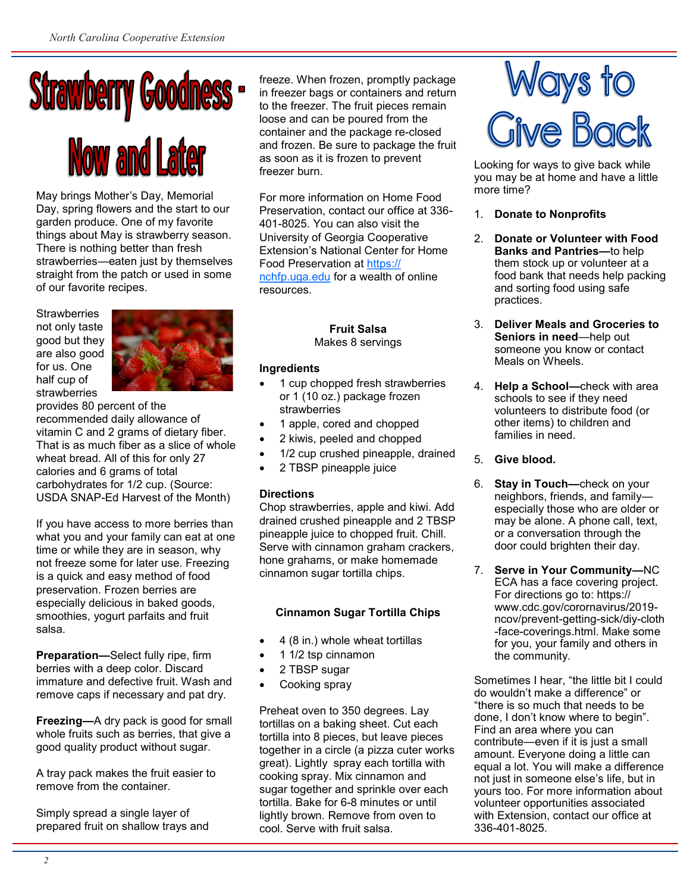

May brings Mother's Day, Memorial Day, spring flowers and the start to our garden produce. One of my favorite things about May is strawberry season. There is nothing better than fresh strawberries—eaten just by themselves straight from the patch or used in some of our favorite recipes.

**Strawberries** not only taste good but they are also good for us. One half cup of strawberries



provides 80 percent of the recommended daily allowance of vitamin C and 2 grams of dietary fiber. That is as much fiber as a slice of whole wheat bread. All of this for only 27 calories and 6 grams of total carbohydrates for 1/2 cup. (Source: USDA SNAP-Ed Harvest of the Month)

If you have access to more berries than what you and your family can eat at one time or while they are in season, why not freeze some for later use. Freezing is a quick and easy method of food preservation. Frozen berries are especially delicious in baked goods, smoothies, yogurt parfaits and fruit salsa.

**Preparation—**Select fully ripe, firm berries with a deep color. Discard immature and defective fruit. Wash and remove caps if necessary and pat dry.

**Freezing—**A dry pack is good for small whole fruits such as berries, that give a good quality product without sugar.

A tray pack makes the fruit easier to remove from the container.

Simply spread a single layer of prepared fruit on shallow trays and

freeze. When frozen, promptly package in freezer bags or containers and return to the freezer. The fruit pieces remain loose and can be poured from the container and the package re-closed and frozen. Be sure to package the fruit as soon as it is frozen to prevent freezer burn.

For more information on Home Food Preservation, contact our office at 336- 401-8025. You can also visit the University of Georgia Cooperative Extension's National Center for Home Food Preservation at [https://](https://nchfp.uga.edu) [nchfp.uga.edu](https://nchfp.uga.edu) for a wealth of online resources.

> **Fruit Salsa** Makes 8 servings

## **Ingredients**

- 1 cup chopped fresh strawberries or 1 (10 oz.) package frozen strawberries
- 1 apple, cored and chopped
- 2 kiwis, peeled and chopped
- 1/2 cup crushed pineapple, drained
- 2 TBSP pineapple juice

# **Directions**

Chop strawberries, apple and kiwi. Add drained crushed pineapple and 2 TBSP pineapple juice to chopped fruit. Chill. Serve with cinnamon graham crackers, hone grahams, or make homemade cinnamon sugar tortilla chips.

# **Cinnamon Sugar Tortilla Chips**

- 4 (8 in.) whole wheat tortillas
- 1 1/2 tsp cinnamon
- 2 TBSP sugar
- Cooking spray

Preheat oven to 350 degrees. Lay tortillas on a baking sheet. Cut each tortilla into 8 pieces, but leave pieces together in a circle (a pizza cuter works great). Lightly spray each tortilla with cooking spray. Mix cinnamon and sugar together and sprinkle over each tortilla. Bake for 6-8 minutes or until lightly brown. Remove from oven to cool. Serve with fruit salsa.



Looking for ways to give back while you may be at home and have a little more time?

- 1. **Donate to Nonprofits**
- 2. **Donate or Volunteer with Food Banks and Pantries—**to help them stock up or volunteer at a food bank that needs help packing and sorting food using safe practices.
- 3. **Deliver Meals and Groceries to Seniors in need**—help out someone you know or contact Meals on Wheels.
- 4. **Help a School—**check with area schools to see if they need volunteers to distribute food (or other items) to children and families in need.
- 5. **Give blood.**
- 6. **Stay in Touch—**check on your neighbors, friends, and family especially those who are older or may be alone. A phone call, text, or a conversation through the door could brighten their day.
- 7. **Serve in Your Community—**NC ECA has a face covering project. For directions go to: https:// www.cdc.gov/corornavirus/2019 ncov/prevent-getting-sick/diy-cloth -face-coverings.html. Make some for you, your family and others in the community.

Sometimes I hear, "the little bit I could do wouldn't make a difference" or "there is so much that needs to be done, I don't know where to begin". Find an area where you can contribute—even if it is just a small amount. Everyone doing a little can equal a lot. You will make a difference not just in someone else's life, but in yours too. For more information about volunteer opportunities associated with Extension, contact our office at 336-401-8025.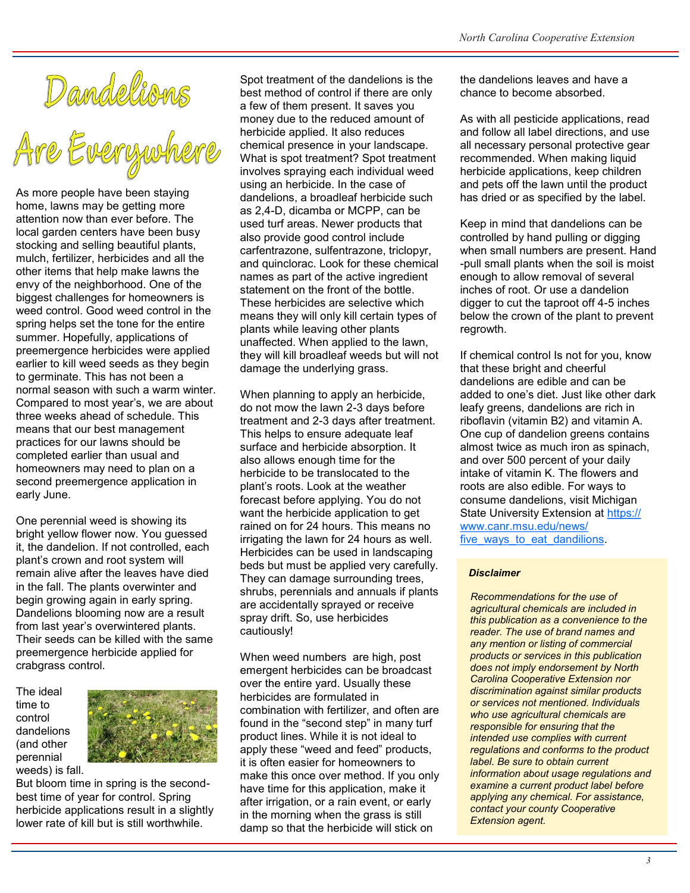Dandelions<br>Are Everywhe

As more people have been staying home, lawns may be getting more attention now than ever before. The local garden centers have been busy stocking and selling beautiful plants, mulch, fertilizer, herbicides and all the other items that help make lawns the envy of the neighborhood. One of the biggest challenges for homeowners is weed control. Good weed control in the spring helps set the tone for the entire summer. Hopefully, applications of preemergence herbicides were applied earlier to kill weed seeds as they begin to germinate. This has not been a normal season with such a warm winter. Compared to most year's, we are about three weeks ahead of schedule. This means that our best management practices for our lawns should be completed earlier than usual and homeowners may need to plan on a second preemergence application in early June.

One perennial weed is showing its bright yellow flower now. You guessed it, the dandelion. If not controlled, each plant's crown and root system will remain alive after the leaves have died in the fall. The plants overwinter and begin growing again in early spring. Dandelions blooming now are a result from last year's overwintered plants. Their seeds can be killed with the same preemergence herbicide applied for crabgrass control.

The ideal time to control dandelions (and other perennial weeds) is fall.



But bloom time in spring is the secondbest time of year for control. Spring herbicide applications result in a slightly lower rate of kill but is still worthwhile.

Spot treatment of the dandelions is the best method of control if there are only a few of them present. It saves you money due to the reduced amount of herbicide applied. It also reduces chemical presence in your landscape. What is spot treatment? Spot treatment involves spraying each individual weed using an herbicide. In the case of dandelions, a broadleaf herbicide such as 2,4-D, dicamba or MCPP, can be used turf areas. Newer products that also provide good control include carfentrazone, sulfentrazone, triclopyr, and quinclorac. Look for these chemical names as part of the active ingredient statement on the front of the bottle. These herbicides are selective which means they will only kill certain types of plants while leaving other plants unaffected. When applied to the lawn, they will kill broadleaf weeds but will not damage the underlying grass.

When planning to apply an herbicide, do not mow the lawn 2-3 days before treatment and 2-3 days after treatment. This helps to ensure adequate leaf surface and herbicide absorption. It also allows enough time for the herbicide to be translocated to the plant's roots. Look at the weather forecast before applying. You do not want the herbicide application to get rained on for 24 hours. This means no irrigating the lawn for 24 hours as well. Herbicides can be used in landscaping beds but must be applied very carefully. They can damage surrounding trees, shrubs, perennials and annuals if plants are accidentally sprayed or receive spray drift. So, use herbicides cautiously!

When weed numbers are high, post emergent herbicides can be broadcast over the entire yard. Usually these herbicides are formulated in combination with fertilizer, and often are found in the "second step" in many turf product lines. While it is not ideal to apply these "weed and feed" products, it is often easier for homeowners to make this once over method. If you only have time for this application, make it after irrigation, or a rain event, or early in the morning when the grass is still damp so that the herbicide will stick on

the dandelions leaves and have a chance to become absorbed.

As with all pesticide applications, read and follow all label directions, and use all necessary personal protective gear recommended. When making liquid herbicide applications, keep children and pets off the lawn until the product has dried or as specified by the label.

Keep in mind that dandelions can be controlled by hand pulling or digging when small numbers are present. Hand -pull small plants when the soil is moist enough to allow removal of several inches of root. Or use a dandelion digger to cut the taproot off 4-5 inches below the crown of the plant to prevent regrowth.

If chemical control Is not for you, know that these bright and cheerful dandelions are edible and can be added to one's diet. Just like other dark leafy greens, dandelions are rich in riboflavin (vitamin B2) and vitamin A. One cup of dandelion greens contains almost twice as much iron as spinach, and over 500 percent of your daily intake of vitamin K. The flowers and roots are also edible. For ways to consume dandelions, visit Michigan State University Extension at [https://](https://www.canr.msu.edu/news/five_ways_to_eat_dandilions) [www.canr.msu.edu/news/](https://www.canr.msu.edu/news/five_ways_to_eat_dandilions) [five\\_ways\\_to\\_eat\\_dandilions.](https://www.canr.msu.edu/news/five_ways_to_eat_dandilions)

### *Disclaimer*

 *Recommendations for the use of agricultural chemicals are included in this publication as a convenience to the reader. The use of brand names and any mention or listing of commercial products or services in this publication does not imply endorsement by North Carolina Cooperative Extension nor discrimination against similar products or services not mentioned. Individuals who use agricultural chemicals are responsible for ensuring that the intended use complies with current regulations and conforms to the product label. Be sure to obtain current information about usage regulations and examine a current product label before applying any chemical. For assistance, contact your county Cooperative Extension agent.*